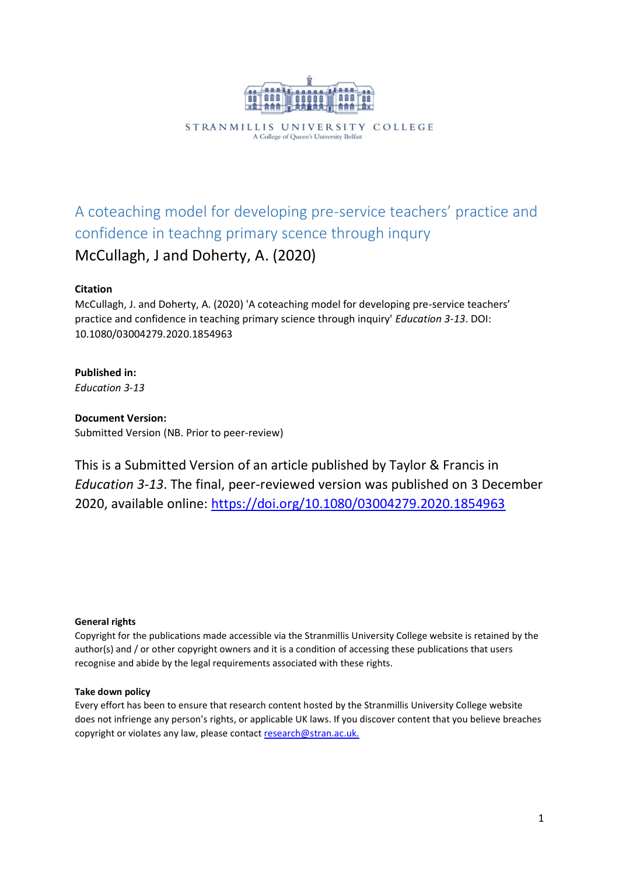

STRANMILLIS UNIVERSITY COLLEGE A College of Queen's University Belfast

# A coteaching model for developing pre-service teachers' practice and confidence in teachng primary scence through inqury McCullagh, J and Doherty, A. (2020)

## **Citation**

McCullagh, J. and Doherty, A. (2020) 'A coteaching model for developing pre-service teachers' practice and confidence in teaching primary science through inquiry' *Education 3-13*. DOI: 10.1080/03004279.2020.1854963

## **Published in:**

*Education 3-13*

## **Document Version:**

Submitted Version (NB. Prior to peer-review)

This is a Submitted Version of an article published by Taylor & Francis in *Education 3-13*. The final, peer-reviewed version was published on 3 December 2020, available online: <https://doi.org/10.1080/03004279.2020.1854963>

#### **General rights**

Copyright for the publications made accessible via the Stranmillis University College website is retained by the author(s) and / or other copyright owners and it is a condition of accessing these publications that users recognise and abide by the legal requirements associated with these rights.

#### **Take down policy**

Every effort has been to ensure that research content hosted by the Stranmillis University College website does not infrienge any person's rights, or applicable UK laws. If you discover content that you believe breaches copyright or violates any law, please contact research@stran.ac.uk.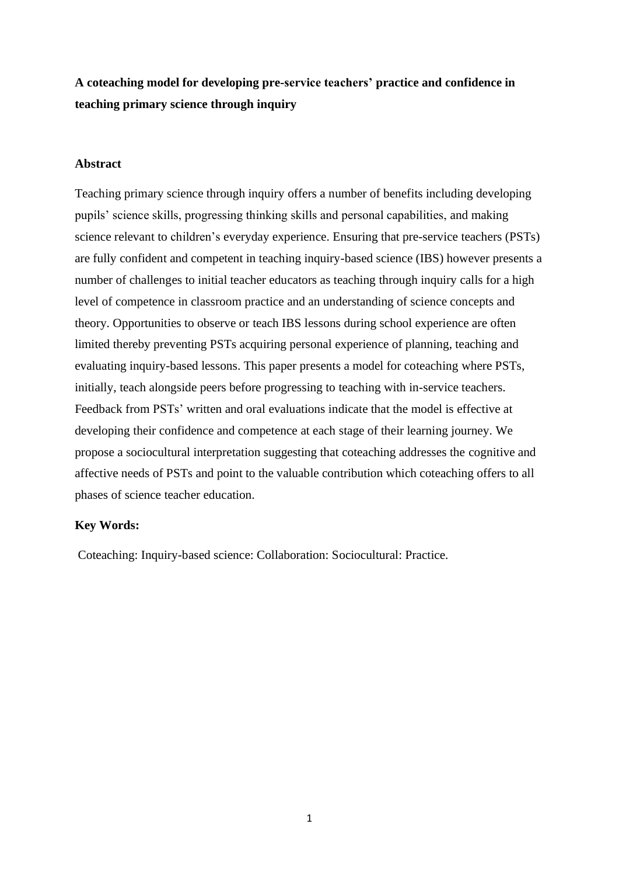**A coteaching model for developing pre-service teachers' practice and confidence in teaching primary science through inquiry** 

#### **Abstract**

Teaching primary science through inquiry offers a number of benefits including developing pupils' science skills, progressing thinking skills and personal capabilities, and making science relevant to children's everyday experience. Ensuring that pre-service teachers (PSTs) are fully confident and competent in teaching inquiry-based science (IBS) however presents a number of challenges to initial teacher educators as teaching through inquiry calls for a high level of competence in classroom practice and an understanding of science concepts and theory. Opportunities to observe or teach IBS lessons during school experience are often limited thereby preventing PSTs acquiring personal experience of planning, teaching and evaluating inquiry-based lessons. This paper presents a model for coteaching where PSTs, initially, teach alongside peers before progressing to teaching with in-service teachers. Feedback from PSTs' written and oral evaluations indicate that the model is effective at developing their confidence and competence at each stage of their learning journey. We propose a sociocultural interpretation suggesting that coteaching addresses the cognitive and affective needs of PSTs and point to the valuable contribution which coteaching offers to all phases of science teacher education.

#### **Key Words:**

Coteaching: Inquiry-based science: Collaboration: Sociocultural: Practice.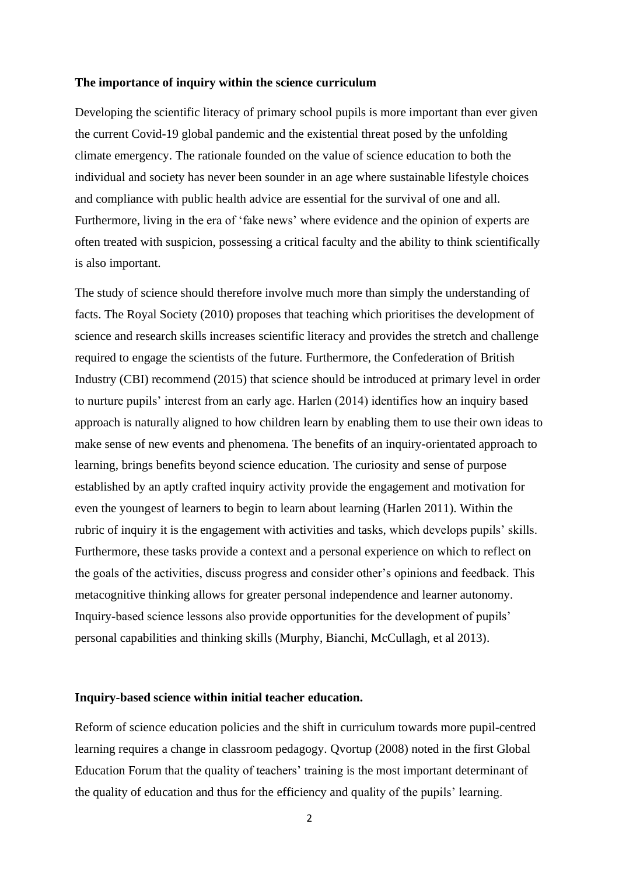#### **The importance of inquiry within the science curriculum**

Developing the scientific literacy of primary school pupils is more important than ever given the current Covid-19 global pandemic and the existential threat posed by the unfolding climate emergency. The rationale founded on the value of science education to both the individual and society has never been sounder in an age where sustainable lifestyle choices and compliance with public health advice are essential for the survival of one and all. Furthermore, living in the era of 'fake news' where evidence and the opinion of experts are often treated with suspicion, possessing a critical faculty and the ability to think scientifically is also important.

The study of science should therefore involve much more than simply the understanding of facts. The Royal Society (2010) proposes that teaching which prioritises the development of science and research skills increases scientific literacy and provides the stretch and challenge required to engage the scientists of the future. Furthermore, the Confederation of British Industry (CBI) recommend (2015) that science should be introduced at primary level in order to nurture pupils' interest from an early age. Harlen (2014) identifies how an inquiry based approach is naturally aligned to how children learn by enabling them to use their own ideas to make sense of new events and phenomena. The benefits of an inquiry-orientated approach to learning, brings benefits beyond science education. The curiosity and sense of purpose established by an aptly crafted inquiry activity provide the engagement and motivation for even the youngest of learners to begin to learn about learning (Harlen 2011). Within the rubric of inquiry it is the engagement with activities and tasks, which develops pupils' skills. Furthermore, these tasks provide a context and a personal experience on which to reflect on the goals of the activities, discuss progress and consider other's opinions and feedback. This metacognitive thinking allows for greater personal independence and learner autonomy. Inquiry-based science lessons also provide opportunities for the development of pupils' personal capabilities and thinking skills (Murphy, Bianchi, McCullagh, et al 2013).

#### **Inquiry-based science within initial teacher education.**

Reform of science education policies and the shift in curriculum towards more pupil-centred learning requires a change in classroom pedagogy. Qvortup (2008) noted in the first Global Education Forum that the quality of teachers' training is the most important determinant of the quality of education and thus for the efficiency and quality of the pupils' learning.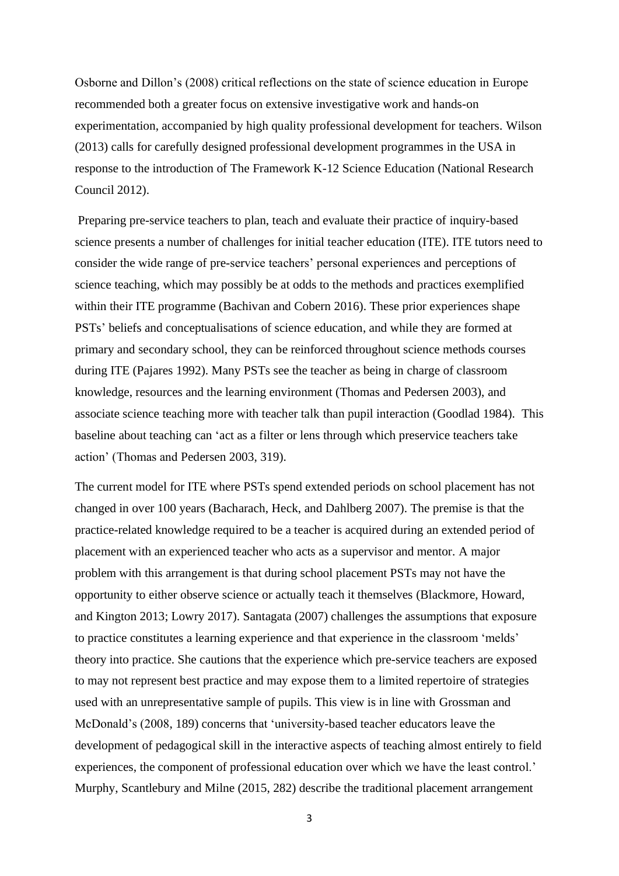Osborne and Dillon's (2008) critical reflections on the state of science education in Europe recommended both a greater focus on extensive investigative work and hands-on experimentation, accompanied by high quality professional development for teachers. Wilson (2013) calls for carefully designed professional development programmes in the USA in response to the introduction of The Framework K-12 Science Education (National Research Council 2012).

Preparing pre-service teachers to plan, teach and evaluate their practice of inquiry-based science presents a number of challenges for initial teacher education (ITE). ITE tutors need to consider the wide range of pre-service teachers' personal experiences and perceptions of science teaching, which may possibly be at odds to the methods and practices exemplified within their ITE programme (Bachivan and Cobern 2016). These prior experiences shape PSTs' beliefs and conceptualisations of science education, and while they are formed at primary and secondary school, they can be reinforced throughout science methods courses during ITE (Pajares 1992). Many PSTs see the teacher as being in charge of classroom knowledge, resources and the learning environment (Thomas and Pedersen 2003), and associate science teaching more with teacher talk than pupil interaction (Goodlad 1984). This baseline about teaching can 'act as a filter or lens through which preservice teachers take action' (Thomas and Pedersen 2003, 319).

The current model for ITE where PSTs spend extended periods on school placement has not changed in over 100 years (Bacharach, Heck, and Dahlberg 2007). The premise is that the practice-related knowledge required to be a teacher is acquired during an extended period of placement with an experienced teacher who acts as a supervisor and mentor. A major problem with this arrangement is that during school placement PSTs may not have the opportunity to either observe science or actually teach it themselves (Blackmore, Howard, and Kington 2013; Lowry 2017). Santagata (2007) challenges the assumptions that exposure to practice constitutes a learning experience and that experience in the classroom 'melds' theory into practice. She cautions that the experience which pre-service teachers are exposed to may not represent best practice and may expose them to a limited repertoire of strategies used with an unrepresentative sample of pupils. This view is in line with Grossman and McDonald's (2008, 189) concerns that 'university-based teacher educators leave the development of pedagogical skill in the interactive aspects of teaching almost entirely to field experiences, the component of professional education over which we have the least control.' Murphy, Scantlebury and Milne (2015, 282) describe the traditional placement arrangement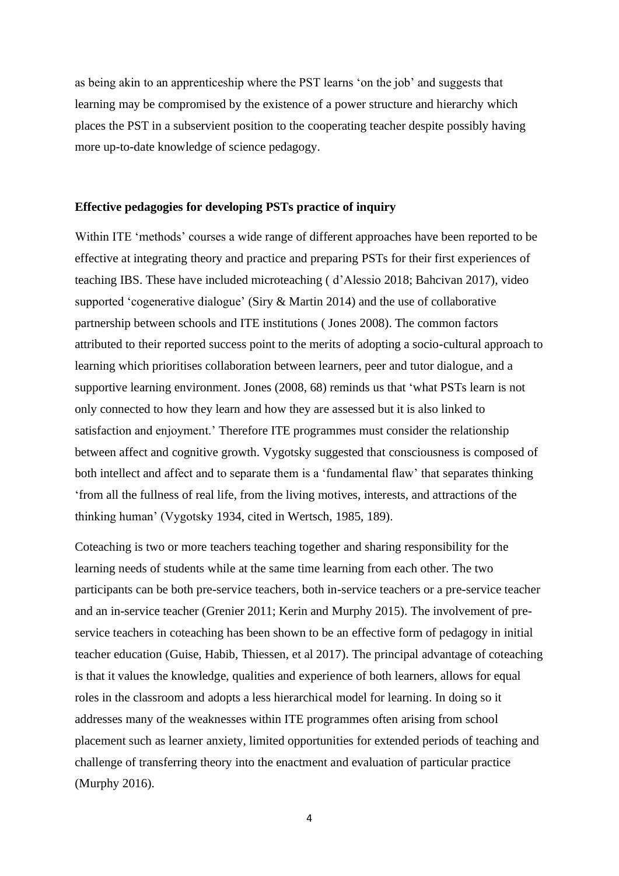as being akin to an apprenticeship where the PST learns 'on the job' and suggests that learning may be compromised by the existence of a power structure and hierarchy which places the PST in a subservient position to the cooperating teacher despite possibly having more up-to-date knowledge of science pedagogy.

#### **Effective pedagogies for developing PSTs practice of inquiry**

Within ITE 'methods' courses a wide range of different approaches have been reported to be effective at integrating theory and practice and preparing PSTs for their first experiences of teaching IBS. These have included microteaching ( d'Alessio 2018; Bahcivan 2017), video supported 'cogenerative dialogue' (Siry & Martin 2014) and the use of collaborative partnership between schools and ITE institutions ( Jones 2008). The common factors attributed to their reported success point to the merits of adopting a socio-cultural approach to learning which prioritises collaboration between learners, peer and tutor dialogue, and a supportive learning environment. Jones (2008, 68) reminds us that 'what PSTs learn is not only connected to how they learn and how they are assessed but it is also linked to satisfaction and enjoyment.' Therefore ITE programmes must consider the relationship between affect and cognitive growth. Vygotsky suggested that consciousness is composed of both intellect and affect and to separate them is a 'fundamental flaw' that separates thinking 'from all the fullness of real life, from the living motives, interests, and attractions of the thinking human' (Vygotsky 1934, cited in Wertsch, 1985, 189).

Coteaching is two or more teachers teaching together and sharing responsibility for the learning needs of students while at the same time learning from each other. The two participants can be both pre-service teachers, both in-service teachers or a pre-service teacher and an in-service teacher (Grenier 2011; Kerin and Murphy 2015). The involvement of preservice teachers in coteaching has been shown to be an effective form of pedagogy in initial teacher education (Guise, Habib, Thiessen, et al 2017). The principal advantage of coteaching is that it values the knowledge, qualities and experience of both learners, allows for equal roles in the classroom and adopts a less hierarchical model for learning. In doing so it addresses many of the weaknesses within ITE programmes often arising from school placement such as learner anxiety, limited opportunities for extended periods of teaching and challenge of transferring theory into the enactment and evaluation of particular practice (Murphy 2016).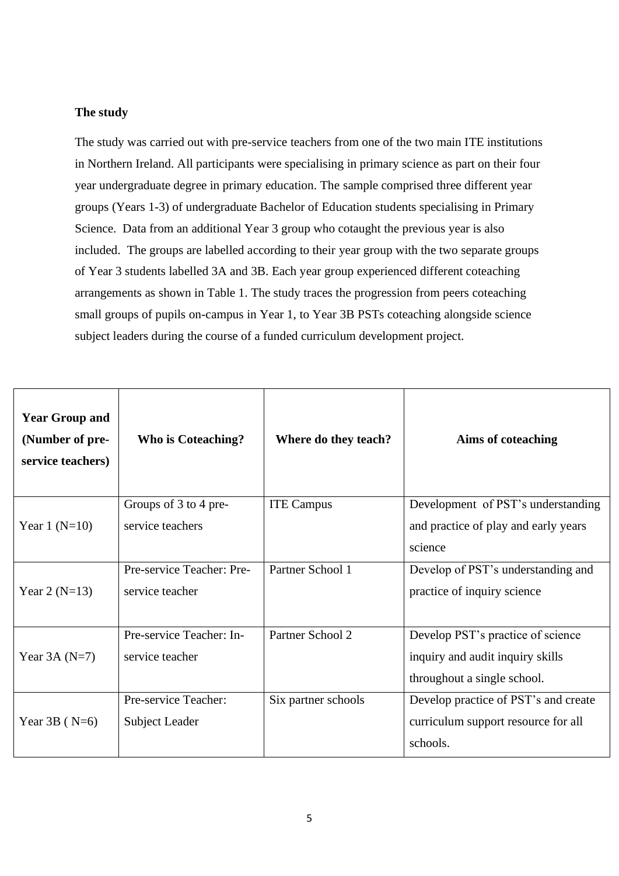## **The study**

The study was carried out with pre-service teachers from one of the two main ITE institutions in Northern Ireland. All participants were specialising in primary science as part on their four year undergraduate degree in primary education. The sample comprised three different year groups (Years 1-3) of undergraduate Bachelor of Education students specialising in Primary Science. Data from an additional Year 3 group who cotaught the previous year is also included. The groups are labelled according to their year group with the two separate groups of Year 3 students labelled 3A and 3B. Each year group experienced different coteaching arrangements as shown in Table 1. The study traces the progression from peers coteaching small groups of pupils on-campus in Year 1, to Year 3B PSTs coteaching alongside science subject leaders during the course of a funded curriculum development project.

| <b>Year Group and</b><br>(Number of pre-<br>service teachers) | Who is Coteaching?                            | Where do they teach? | Aims of coteaching                                                                                   |
|---------------------------------------------------------------|-----------------------------------------------|----------------------|------------------------------------------------------------------------------------------------------|
| Year $1(N=10)$                                                | Groups of 3 to 4 pre-<br>service teachers     | <b>ITE Campus</b>    | Development of PST's understanding<br>and practice of play and early years<br>science                |
| Year $2(N=13)$                                                | Pre-service Teacher: Pre-<br>service teacher  | Partner School 1     | Develop of PST's understanding and<br>practice of inquiry science                                    |
| Year $3A(N=7)$                                                | Pre-service Teacher: In-<br>service teacher   | Partner School 2     | Develop PST's practice of science<br>inquiry and audit inquiry skills<br>throughout a single school. |
| Year $3B(N=6)$                                                | Pre-service Teacher:<br><b>Subject Leader</b> | Six partner schools  | Develop practice of PST's and create<br>curriculum support resource for all<br>schools.              |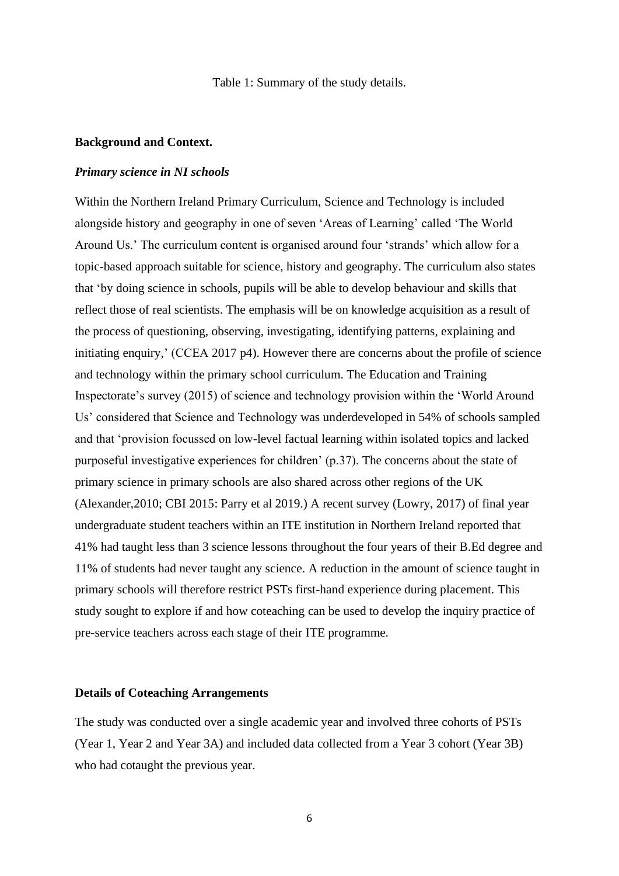Table 1: Summary of the study details.

#### **Background and Context.**

#### *Primary science in NI schools*

Within the Northern Ireland Primary Curriculum, Science and Technology is included alongside history and geography in one of seven 'Areas of Learning' called 'The World Around Us.' The curriculum content is organised around four 'strands' which allow for a topic-based approach suitable for science, history and geography. The curriculum also states that 'by doing science in schools, pupils will be able to develop behaviour and skills that reflect those of real scientists. The emphasis will be on knowledge acquisition as a result of the process of questioning, observing, investigating, identifying patterns, explaining and initiating enquiry,' (CCEA 2017 p4). However there are concerns about the profile of science and technology within the primary school curriculum. The Education and Training Inspectorate's survey (2015) of science and technology provision within the 'World Around Us' considered that Science and Technology was underdeveloped in 54% of schools sampled and that 'provision focussed on low-level factual learning within isolated topics and lacked purposeful investigative experiences for children' (p.37). The concerns about the state of primary science in primary schools are also shared across other regions of the UK (Alexander,2010; CBI 2015: Parry et al 2019.) A recent survey (Lowry, 2017) of final year undergraduate student teachers within an ITE institution in Northern Ireland reported that 41% had taught less than 3 science lessons throughout the four years of their B.Ed degree and 11% of students had never taught any science. A reduction in the amount of science taught in primary schools will therefore restrict PSTs first-hand experience during placement. This study sought to explore if and how coteaching can be used to develop the inquiry practice of pre-service teachers across each stage of their ITE programme.

#### **Details of Coteaching Arrangements**

The study was conducted over a single academic year and involved three cohorts of PSTs (Year 1, Year 2 and Year 3A) and included data collected from a Year 3 cohort (Year 3B) who had cotaught the previous year.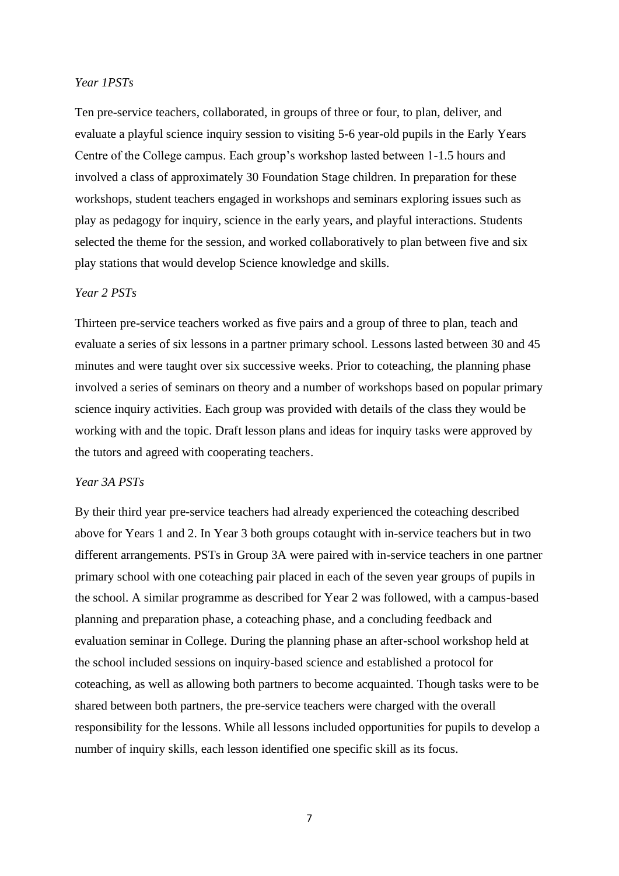#### *Year 1PSTs*

Ten pre-service teachers, collaborated, in groups of three or four, to plan, deliver, and evaluate a playful science inquiry session to visiting 5-6 year-old pupils in the Early Years Centre of the College campus. Each group's workshop lasted between 1-1.5 hours and involved a class of approximately 30 Foundation Stage children. In preparation for these workshops, student teachers engaged in workshops and seminars exploring issues such as play as pedagogy for inquiry, science in the early years, and playful interactions. Students selected the theme for the session, and worked collaboratively to plan between five and six play stations that would develop Science knowledge and skills.

#### *Year 2 PSTs*

Thirteen pre-service teachers worked as five pairs and a group of three to plan, teach and evaluate a series of six lessons in a partner primary school. Lessons lasted between 30 and 45 minutes and were taught over six successive weeks. Prior to coteaching, the planning phase involved a series of seminars on theory and a number of workshops based on popular primary science inquiry activities. Each group was provided with details of the class they would be working with and the topic. Draft lesson plans and ideas for inquiry tasks were approved by the tutors and agreed with cooperating teachers.

#### *Year 3A PSTs*

By their third year pre-service teachers had already experienced the coteaching described above for Years 1 and 2. In Year 3 both groups cotaught with in-service teachers but in two different arrangements. PSTs in Group 3A were paired with in-service teachers in one partner primary school with one coteaching pair placed in each of the seven year groups of pupils in the school. A similar programme as described for Year 2 was followed, with a campus-based planning and preparation phase, a coteaching phase, and a concluding feedback and evaluation seminar in College. During the planning phase an after-school workshop held at the school included sessions on inquiry-based science and established a protocol for coteaching, as well as allowing both partners to become acquainted. Though tasks were to be shared between both partners, the pre-service teachers were charged with the overall responsibility for the lessons. While all lessons included opportunities for pupils to develop a number of inquiry skills, each lesson identified one specific skill as its focus.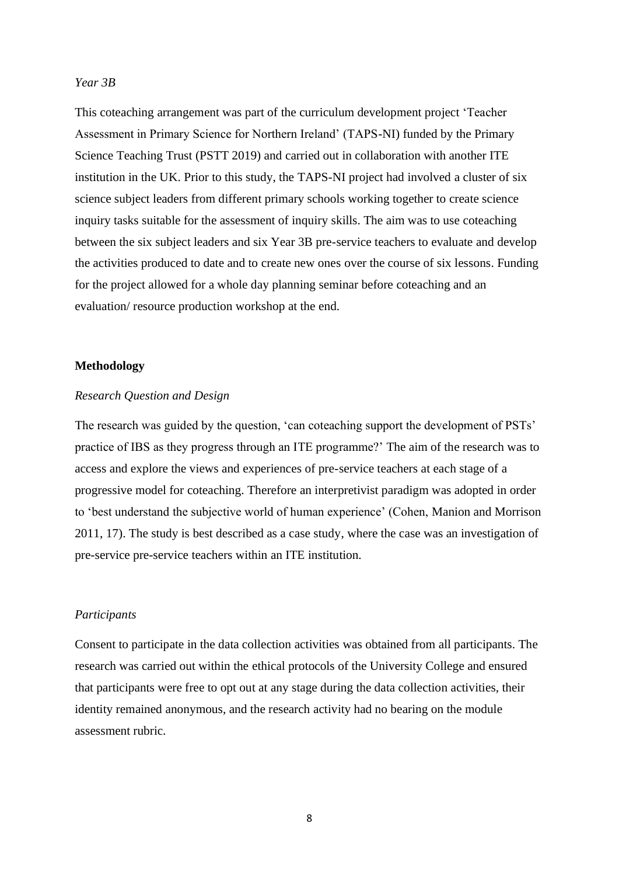#### *Year 3B*

This coteaching arrangement was part of the curriculum development project 'Teacher Assessment in Primary Science for Northern Ireland' (TAPS-NI) funded by the Primary Science Teaching Trust (PSTT 2019) and carried out in collaboration with another ITE institution in the UK. Prior to this study, the TAPS-NI project had involved a cluster of six science subject leaders from different primary schools working together to create science inquiry tasks suitable for the assessment of inquiry skills. The aim was to use coteaching between the six subject leaders and six Year 3B pre-service teachers to evaluate and develop the activities produced to date and to create new ones over the course of six lessons. Funding for the project allowed for a whole day planning seminar before coteaching and an evaluation/ resource production workshop at the end.

#### **Methodology**

#### *Research Question and Design*

The research was guided by the question, 'can coteaching support the development of PSTs' practice of IBS as they progress through an ITE programme?' The aim of the research was to access and explore the views and experiences of pre-service teachers at each stage of a progressive model for coteaching. Therefore an interpretivist paradigm was adopted in order to 'best understand the subjective world of human experience' (Cohen, Manion and Morrison 2011, 17). The study is best described as a case study, where the case was an investigation of pre-service pre-service teachers within an ITE institution.

#### *Participants*

Consent to participate in the data collection activities was obtained from all participants. The research was carried out within the ethical protocols of the University College and ensured that participants were free to opt out at any stage during the data collection activities, their identity remained anonymous, and the research activity had no bearing on the module assessment rubric.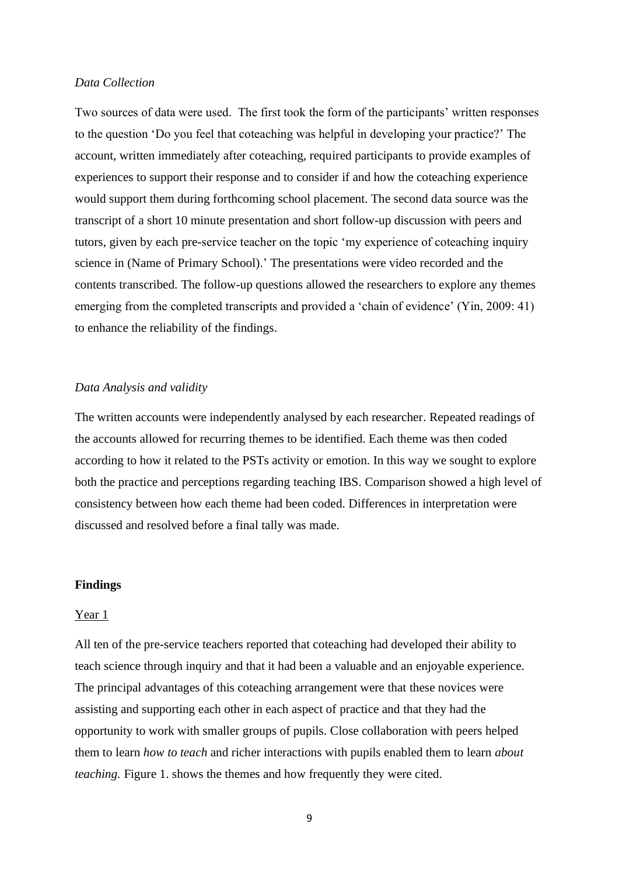#### *Data Collection*

Two sources of data were used. The first took the form of the participants' written responses to the question 'Do you feel that coteaching was helpful in developing your practice?' The account, written immediately after coteaching, required participants to provide examples of experiences to support their response and to consider if and how the coteaching experience would support them during forthcoming school placement. The second data source was the transcript of a short 10 minute presentation and short follow-up discussion with peers and tutors, given by each pre-service teacher on the topic 'my experience of coteaching inquiry science in (Name of Primary School).' The presentations were video recorded and the contents transcribed. The follow-up questions allowed the researchers to explore any themes emerging from the completed transcripts and provided a 'chain of evidence' (Yin, 2009: 41) to enhance the reliability of the findings.

#### *Data Analysis and validity*

The written accounts were independently analysed by each researcher. Repeated readings of the accounts allowed for recurring themes to be identified. Each theme was then coded according to how it related to the PSTs activity or emotion. In this way we sought to explore both the practice and perceptions regarding teaching IBS. Comparison showed a high level of consistency between how each theme had been coded. Differences in interpretation were discussed and resolved before a final tally was made.

#### **Findings**

#### Year 1

All ten of the pre-service teachers reported that coteaching had developed their ability to teach science through inquiry and that it had been a valuable and an enjoyable experience. The principal advantages of this coteaching arrangement were that these novices were assisting and supporting each other in each aspect of practice and that they had the opportunity to work with smaller groups of pupils. Close collaboration with peers helped them to learn *how to teach* and richer interactions with pupils enabled them to learn *about teaching.* Figure 1. shows the themes and how frequently they were cited.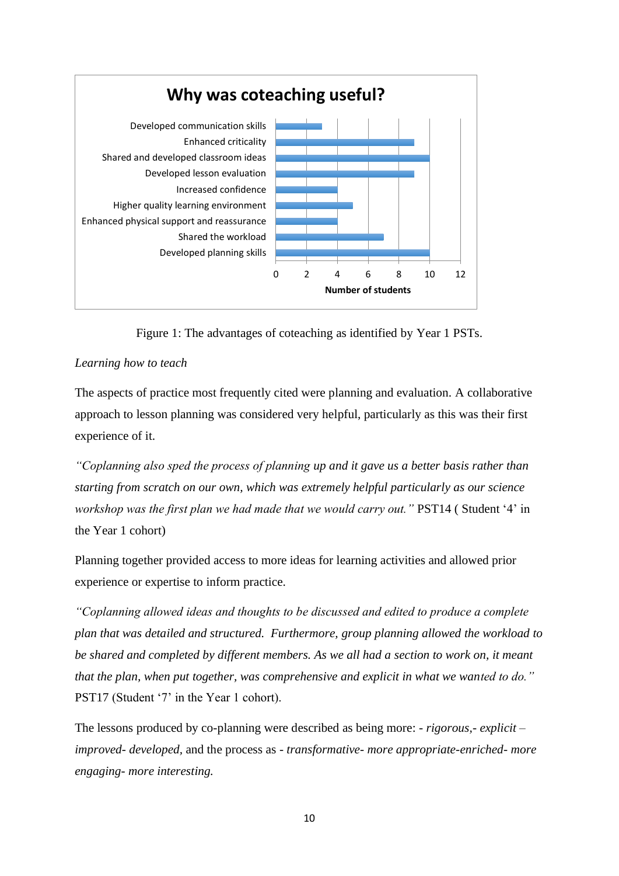

Figure 1: The advantages of coteaching as identified by Year 1 PSTs.

## *Learning how to teach*

The aspects of practice most frequently cited were planning and evaluation. A collaborative approach to lesson planning was considered very helpful, particularly as this was their first experience of it.

*"Coplanning also sped the process of planning up and it gave us a better basis rather than starting from scratch on our own, which was extremely helpful particularly as our science workshop was the first plan we had made that we would carry out."* PST14 ( Student '4' in the Year 1 cohort)

Planning together provided access to more ideas for learning activities and allowed prior experience or expertise to inform practice.

*"Coplanning allowed ideas and thoughts to be discussed and edited to produce a complete plan that was detailed and structured. Furthermore, group planning allowed the workload to be shared and completed by different members. As we all had a section to work on, it meant that the plan, when put together, was comprehensive and explicit in what we wanted to do."* PST17 (Student '7' in the Year 1 cohort).

The lessons produced by co-planning were described as being more: *- rigorous,- explicit – improved- developed,* and the process as *- transformative- more appropriate-enriched- more engaging- more interesting.*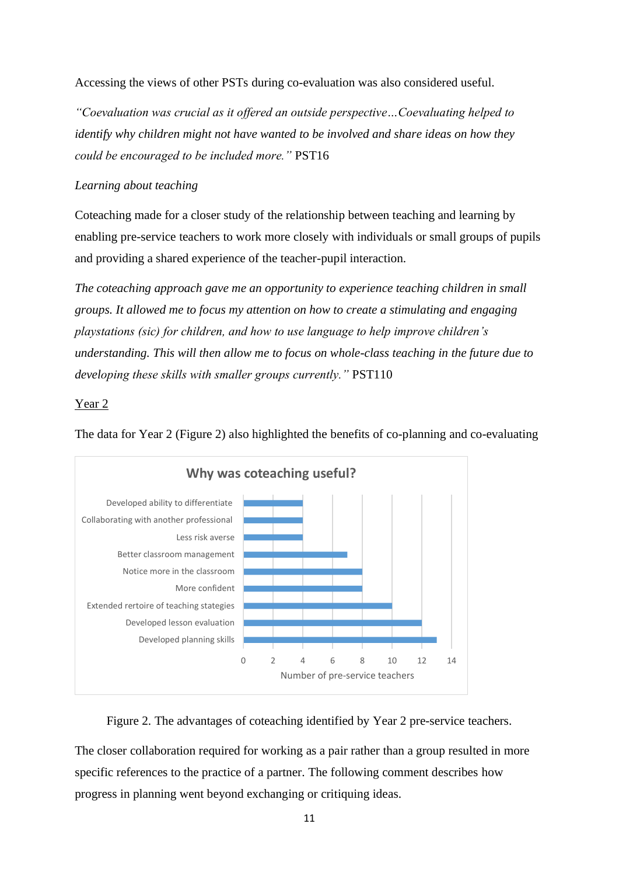Accessing the views of other PSTs during co-evaluation was also considered useful.

*"Coevaluation was crucial as it offered an outside perspective…Coevaluating helped to identify why children might not have wanted to be involved and share ideas on how they could be encouraged to be included more."* PST16

## *Learning about teaching*

Coteaching made for a closer study of the relationship between teaching and learning by enabling pre-service teachers to work more closely with individuals or small groups of pupils and providing a shared experience of the teacher-pupil interaction.

*The coteaching approach gave me an opportunity to experience teaching children in small groups. It allowed me to focus my attention on how to create a stimulating and engaging playstations (sic) for children, and how to use language to help improve children's understanding. This will then allow me to focus on whole-class teaching in the future due to developing these skills with smaller groups currently."* PST110

## Year 2



The data for Year 2 (Figure 2) also highlighted the benefits of co-planning and co-evaluating

Figure 2. The advantages of coteaching identified by Year 2 pre-service teachers.

The closer collaboration required for working as a pair rather than a group resulted in more specific references to the practice of a partner. The following comment describes how progress in planning went beyond exchanging or critiquing ideas.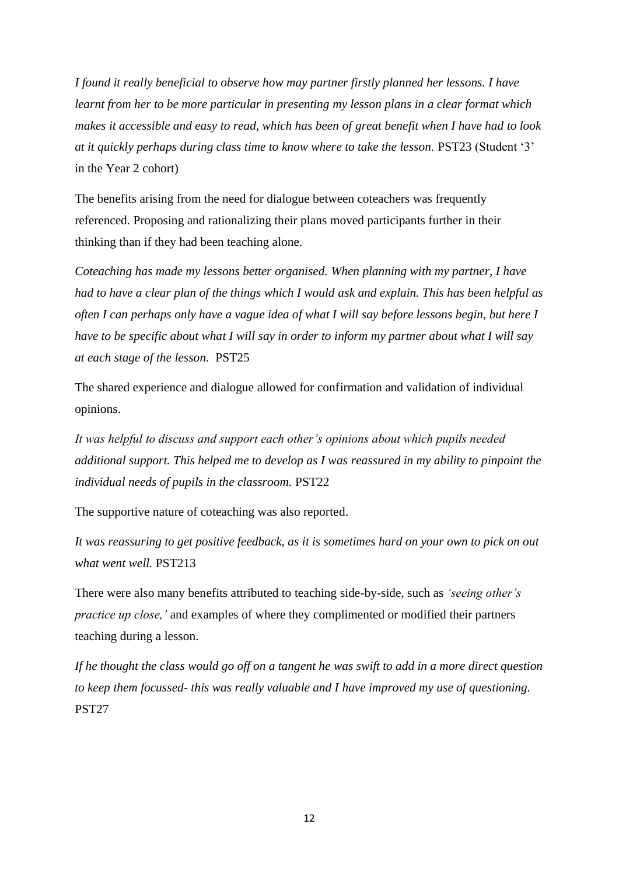*I found it really beneficial to observe how may partner firstly planned her lessons. I have learnt from her to be more particular in presenting my lesson plans in a clear format which makes it accessible and easy to read, which has been of great benefit when I have had to look at it quickly perhaps during class time to know where to take the lesson.* PST23 (Student '3' in the Year 2 cohort)

The benefits arising from the need for dialogue between coteachers was frequently referenced. Proposing and rationalizing their plans moved participants further in their thinking than if they had been teaching alone.

*Coteaching has made my lessons better organised. When planning with my partner, I have had to have a clear plan of the things which I would ask and explain. This has been helpful as often I can perhaps only have a vague idea of what I will say before lessons begin, but here I have to be specific about what I will say in order to inform my partner about what I will say at each stage of the lesson.* PST25

The shared experience and dialogue allowed for confirmation and validation of individual opinions.

*It was helpful to discuss and support each other's opinions about which pupils needed additional support. This helped me to develop as I was reassured in my ability to pinpoint the individual needs of pupils in the classroom.* PST22

The supportive nature of coteaching was also reported.

*It was reassuring to get positive feedback, as it is sometimes hard on your own to pick on out what went well.* PST213

There were also many benefits attributed to teaching side-by-side, such as *'seeing other's practice up close,'* and examples of where they complimented or modified their partners teaching during a lesson.

*If he thought the class would go off on a tangent he was swift to add in a more direct question to keep them focussed- this was really valuable and I have improved my use of questioning.* PST27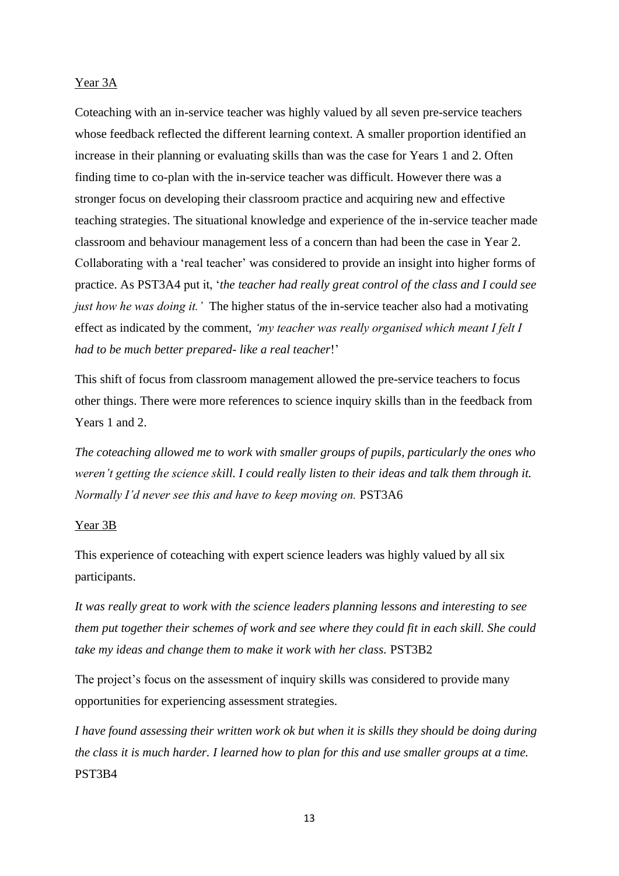#### Year 3A

Coteaching with an in-service teacher was highly valued by all seven pre-service teachers whose feedback reflected the different learning context. A smaller proportion identified an increase in their planning or evaluating skills than was the case for Years 1 and 2. Often finding time to co-plan with the in-service teacher was difficult. However there was a stronger focus on developing their classroom practice and acquiring new and effective teaching strategies. The situational knowledge and experience of the in-service teacher made classroom and behaviour management less of a concern than had been the case in Year 2. Collaborating with a 'real teacher' was considered to provide an insight into higher forms of practice. As PST3A4 put it, '*the teacher had really great control of the class and I could see just how he was doing it.'* The higher status of the in-service teacher also had a motivating effect as indicated by the comment, *'my teacher was really organised which meant I felt I had to be much better prepared- like a real teacher*!'

This shift of focus from classroom management allowed the pre-service teachers to focus other things. There were more references to science inquiry skills than in the feedback from Years 1 and 2.

*The coteaching allowed me to work with smaller groups of pupils, particularly the ones who weren't getting the science skill. I could really listen to their ideas and talk them through it. Normally I'd never see this and have to keep moving on.* PST3A6

#### Year 3B

This experience of coteaching with expert science leaders was highly valued by all six participants.

*It was really great to work with the science leaders planning lessons and interesting to see them put together their schemes of work and see where they could fit in each skill. She could take my ideas and change them to make it work with her class.* PST3B2

The project's focus on the assessment of inquiry skills was considered to provide many opportunities for experiencing assessment strategies.

*I have found assessing their written work ok but when it is skills they should be doing during the class it is much harder. I learned how to plan for this and use smaller groups at a time.*  PST3B4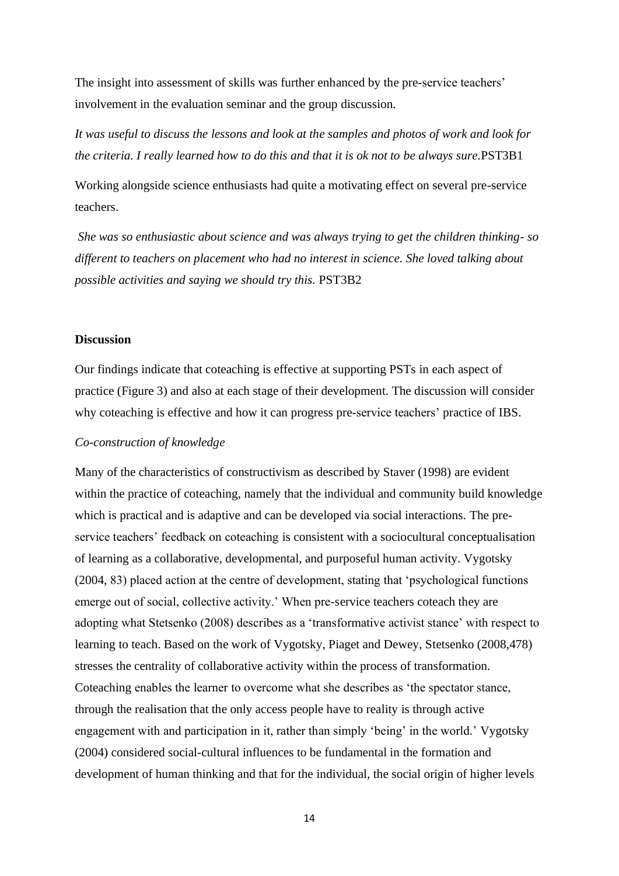The insight into assessment of skills was further enhanced by the pre-service teachers' involvement in the evaluation seminar and the group discussion.

*It was useful to discuss the lessons and look at the samples and photos of work and look for the criteria. I really learned how to do this and that it is ok not to be always sure.*PST3B1

Working alongside science enthusiasts had quite a motivating effect on several pre-service teachers.

*She was so enthusiastic about science and was always trying to get the children thinking- so different to teachers on placement who had no interest in science. She loved talking about possible activities and saying we should try this.* PST3B2

### **Discussion**

Our findings indicate that coteaching is effective at supporting PSTs in each aspect of practice (Figure 3) and also at each stage of their development. The discussion will consider why coteaching is effective and how it can progress pre-service teachers' practice of IBS.

#### *Co-construction of knowledge*

Many of the characteristics of constructivism as described by Staver (1998) are evident within the practice of coteaching, namely that the individual and community build knowledge which is practical and is adaptive and can be developed via social interactions. The preservice teachers' feedback on coteaching is consistent with a sociocultural conceptualisation of learning as a collaborative, developmental, and purposeful human activity. Vygotsky (2004, 83) placed action at the centre of development, stating that 'psychological functions emerge out of social, collective activity.' When pre-service teachers coteach they are adopting what Stetsenko (2008) describes as a 'transformative activist stance' with respect to learning to teach. Based on the work of Vygotsky, Piaget and Dewey, Stetsenko (2008,478) stresses the centrality of collaborative activity within the process of transformation. Coteaching enables the learner to overcome what she describes as 'the spectator stance, through the realisation that the only access people have to reality is through active engagement with and participation in it, rather than simply 'being' in the world.' Vygotsky (2004) considered social-cultural influences to be fundamental in the formation and development of human thinking and that for the individual, the social origin of higher levels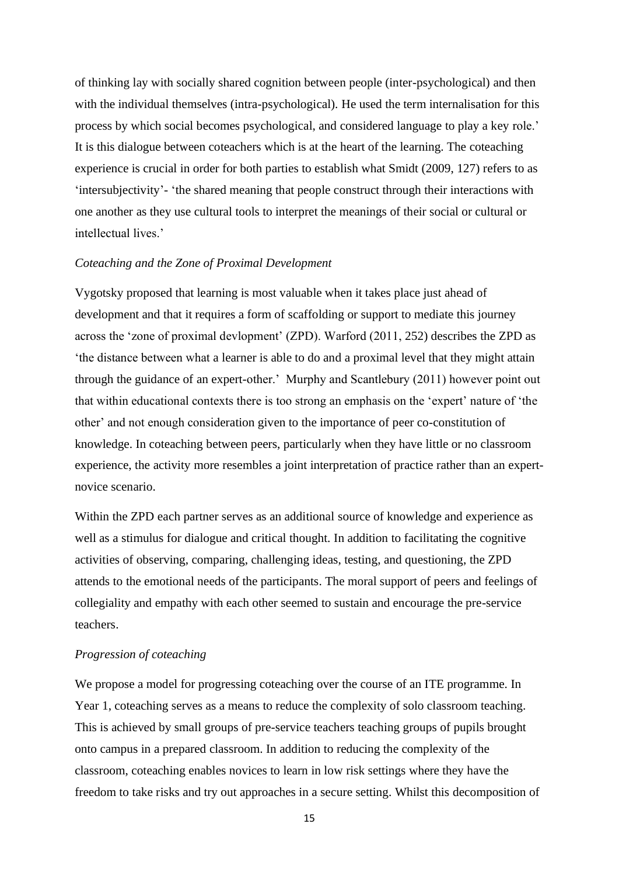of thinking lay with socially shared cognition between people (inter-psychological) and then with the individual themselves (intra-psychological). He used the term internalisation for this process by which social becomes psychological, and considered language to play a key role.' It is this dialogue between coteachers which is at the heart of the learning. The coteaching experience is crucial in order for both parties to establish what Smidt (2009, 127) refers to as 'intersubjectivity'- 'the shared meaning that people construct through their interactions with one another as they use cultural tools to interpret the meanings of their social or cultural or intellectual lives.'

#### *Coteaching and the Zone of Proximal Development*

Vygotsky proposed that learning is most valuable when it takes place just ahead of development and that it requires a form of scaffolding or support to mediate this journey across the 'zone of proximal devlopment' (ZPD). Warford (2011, 252) describes the ZPD as 'the distance between what a learner is able to do and a proximal level that they might attain through the guidance of an expert-other.' Murphy and Scantlebury (2011) however point out that within educational contexts there is too strong an emphasis on the 'expert' nature of 'the other' and not enough consideration given to the importance of peer co-constitution of knowledge. In coteaching between peers, particularly when they have little or no classroom experience, the activity more resembles a joint interpretation of practice rather than an expertnovice scenario.

Within the ZPD each partner serves as an additional source of knowledge and experience as well as a stimulus for dialogue and critical thought. In addition to facilitating the cognitive activities of observing, comparing, challenging ideas, testing, and questioning, the ZPD attends to the emotional needs of the participants. The moral support of peers and feelings of collegiality and empathy with each other seemed to sustain and encourage the pre-service teachers.

#### *Progression of coteaching*

We propose a model for progressing coteaching over the course of an ITE programme. In Year 1, coteaching serves as a means to reduce the complexity of solo classroom teaching. This is achieved by small groups of pre-service teachers teaching groups of pupils brought onto campus in a prepared classroom. In addition to reducing the complexity of the classroom, coteaching enables novices to learn in low risk settings where they have the freedom to take risks and try out approaches in a secure setting. Whilst this decomposition of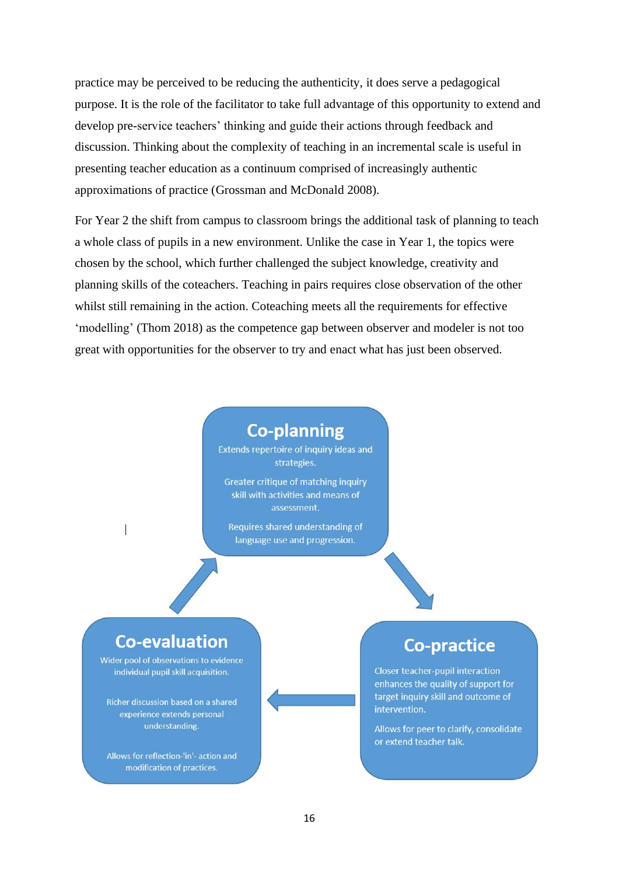practice may be perceived to be reducing the authenticity, it does serve a pedagogical purpose. It is the role of the facilitator to take full advantage of this opportunity to extend and develop pre-service teachers' thinking and guide their actions through feedback and discussion. Thinking about the complexity of teaching in an incremental scale is useful in presenting teacher education as a continuum comprised of increasingly authentic approximations of practice (Grossman and McDonald 2008).

For Year 2 the shift from campus to classroom brings the additional task of planning to teach a whole class of pupils in a new environment. Unlike the case in Year 1, the topics were chosen by the school, which further challenged the subject knowledge, creativity and planning skills of the coteachers. Teaching in pairs requires close observation of the other whilst still remaining in the action. Coteaching meets all the requirements for effective 'modelling' (Thom 2018) as the competence gap between observer and modeler is not too great with opportunities for the observer to try and enact what has just been observed.

## **Co-planning** Extends repertoire of inquiry ideas and strategies. Greater critique of matching inquiry skill with activities and means of assessment. Requires shared understanding of

language use and progression.

## **Co-evaluation**

Wider pool of observations to evidence individual pupil skill acquisition.

Richer discussion based on a shared experience extends personal understanding.

Allows for reflection-'in'- action and modification of practices.

# **Co-practice**

Closer teacher-pupil interaction enhances the quality of support for target inquiry skill and outcome of intervention.

Allows for peer to clarify, consolidate or extend teacher talk.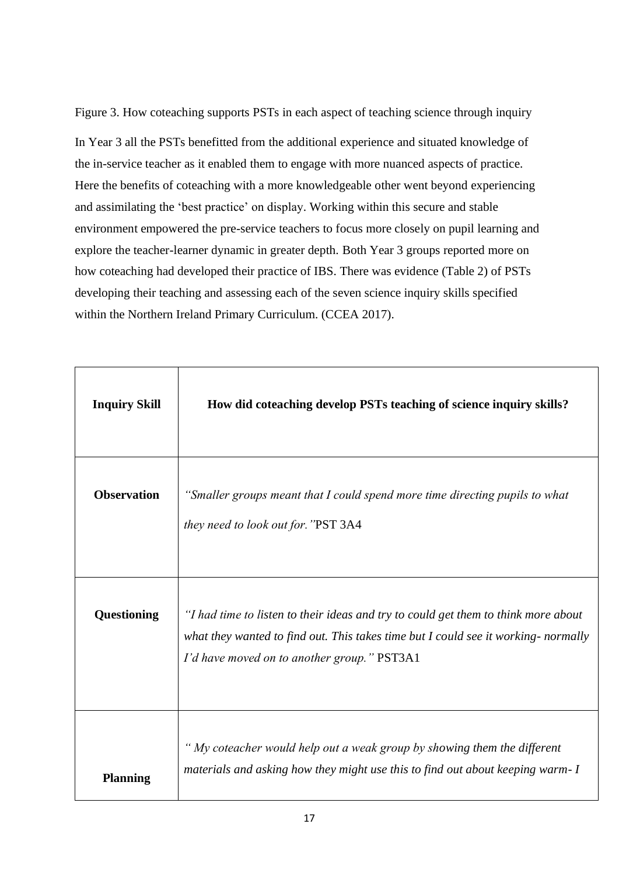Figure 3. How coteaching supports PSTs in each aspect of teaching science through inquiry In Year 3 all the PSTs benefitted from the additional experience and situated knowledge of the in-service teacher as it enabled them to engage with more nuanced aspects of practice. Here the benefits of coteaching with a more knowledgeable other went beyond experiencing and assimilating the 'best practice' on display. Working within this secure and stable environment empowered the pre-service teachers to focus more closely on pupil learning and explore the teacher-learner dynamic in greater depth. Both Year 3 groups reported more on how coteaching had developed their practice of IBS. There was evidence (Table 2) of PSTs developing their teaching and assessing each of the seven science inquiry skills specified within the Northern Ireland Primary Curriculum. (CCEA 2017).

| <b>Inquiry Skill</b> | How did coteaching develop PSTs teaching of science inquiry skills?                                                                                                                                                    |
|----------------------|------------------------------------------------------------------------------------------------------------------------------------------------------------------------------------------------------------------------|
| <b>Observation</b>   | "Smaller groups meant that I could spend more time directing pupils to what<br>they need to look out for. "PST 3A4                                                                                                     |
| Questioning          | "I had time to listen to their ideas and try to could get them to think more about<br>what they wanted to find out. This takes time but I could see it working-normally<br>I'd have moved on to another group." PST3A1 |
| <b>Planning</b>      | " My coteacher would help out a weak group by showing them the different<br>materials and asking how they might use this to find out about keeping warm- I                                                             |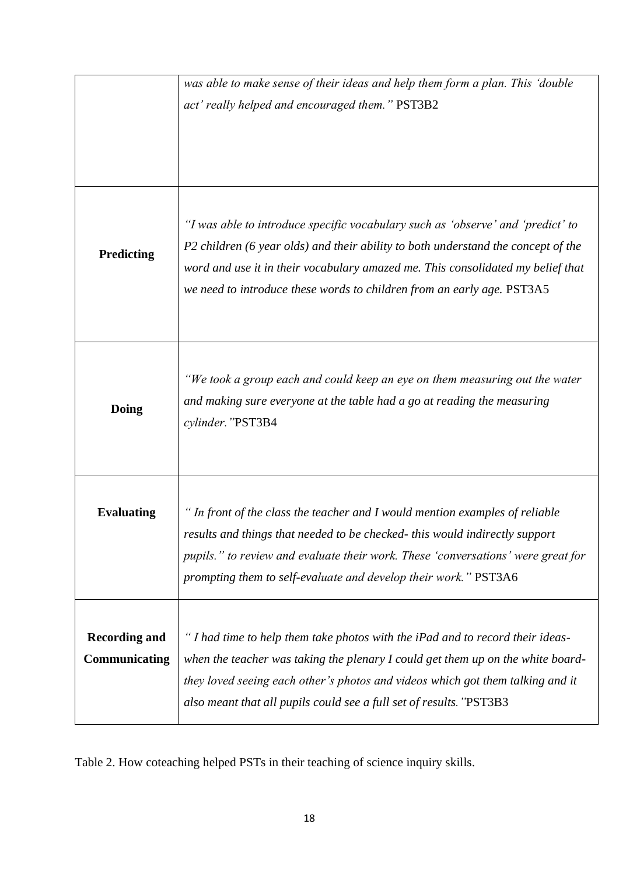|                                       | was able to make sense of their ideas and help them form a plan. This 'double<br>act' really helped and encouraged them." PST3B2                                                                                                                                                                                                  |  |
|---------------------------------------|-----------------------------------------------------------------------------------------------------------------------------------------------------------------------------------------------------------------------------------------------------------------------------------------------------------------------------------|--|
| <b>Predicting</b>                     | "I was able to introduce specific vocabulary such as 'observe' and 'predict' to<br>P2 children (6 year olds) and their ability to both understand the concept of the<br>word and use it in their vocabulary amazed me. This consolidated my belief that<br>we need to introduce these words to children from an early age. PST3A5 |  |
| <b>Doing</b>                          | "We took a group each and could keep an eye on them measuring out the water<br>and making sure everyone at the table had a go at reading the measuring<br>cylinder. "PST3B4                                                                                                                                                       |  |
| <b>Evaluating</b>                     | " In front of the class the teacher and I would mention examples of reliable<br>results and things that needed to be checked-this would indirectly support<br>pupils." to review and evaluate their work. These 'conversations' were great for<br>prompting them to self-evaluate and develop their work." PST3A6                 |  |
| <b>Recording and</b><br>Communicating | "I had time to help them take photos with the iPad and to record their ideas-<br>when the teacher was taking the plenary I could get them up on the white board-<br>they loved seeing each other's photos and videos which got them talking and it<br>also meant that all pupils could see a full set of results. "PST3B3         |  |

Table 2. How coteaching helped PSTs in their teaching of science inquiry skills.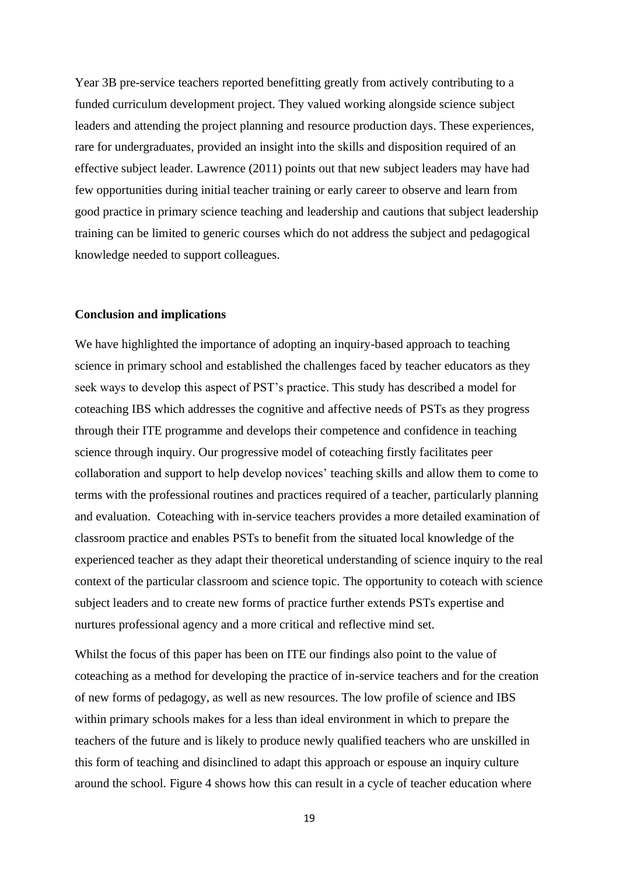Year 3B pre-service teachers reported benefitting greatly from actively contributing to a funded curriculum development project. They valued working alongside science subject leaders and attending the project planning and resource production days. These experiences, rare for undergraduates, provided an insight into the skills and disposition required of an effective subject leader. Lawrence (2011) points out that new subject leaders may have had few opportunities during initial teacher training or early career to observe and learn from good practice in primary science teaching and leadership and cautions that subject leadership training can be limited to generic courses which do not address the subject and pedagogical knowledge needed to support colleagues.

#### **Conclusion and implications**

We have highlighted the importance of adopting an inquiry-based approach to teaching science in primary school and established the challenges faced by teacher educators as they seek ways to develop this aspect of PST's practice. This study has described a model for coteaching IBS which addresses the cognitive and affective needs of PSTs as they progress through their ITE programme and develops their competence and confidence in teaching science through inquiry. Our progressive model of coteaching firstly facilitates peer collaboration and support to help develop novices' teaching skills and allow them to come to terms with the professional routines and practices required of a teacher, particularly planning and evaluation. Coteaching with in-service teachers provides a more detailed examination of classroom practice and enables PSTs to benefit from the situated local knowledge of the experienced teacher as they adapt their theoretical understanding of science inquiry to the real context of the particular classroom and science topic. The opportunity to coteach with science subject leaders and to create new forms of practice further extends PSTs expertise and nurtures professional agency and a more critical and reflective mind set.

Whilst the focus of this paper has been on ITE our findings also point to the value of coteaching as a method for developing the practice of in-service teachers and for the creation of new forms of pedagogy, as well as new resources. The low profile of science and IBS within primary schools makes for a less than ideal environment in which to prepare the teachers of the future and is likely to produce newly qualified teachers who are unskilled in this form of teaching and disinclined to adapt this approach or espouse an inquiry culture around the school. Figure 4 shows how this can result in a cycle of teacher education where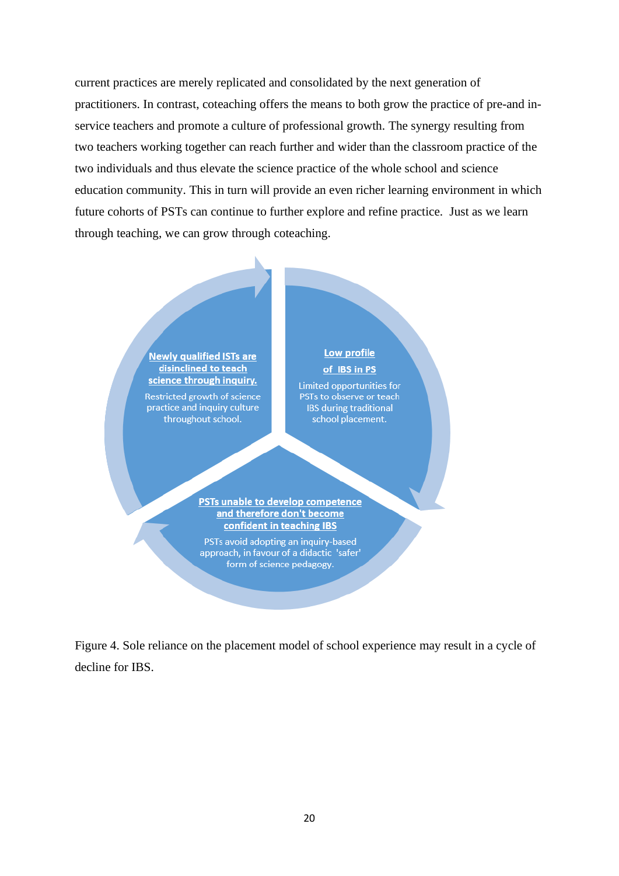current practices are merely replicated and consolidated by the next generation of practitioners. In contrast, coteaching offers the means to both grow the practice of pre-and inservice teachers and promote a culture of professional growth. The synergy resulting from two teachers working together can reach further and wider than the classroom practice of the two individuals and thus elevate the science practice of the whole school and science education community. This in turn will provide an even richer learning environment in which future cohorts of PSTs can continue to further explore and refine practice. Just as we learn through teaching, we can grow through coteaching.



Figure 4. Sole reliance on the placement model of school experience may result in a cycle of decline for IBS.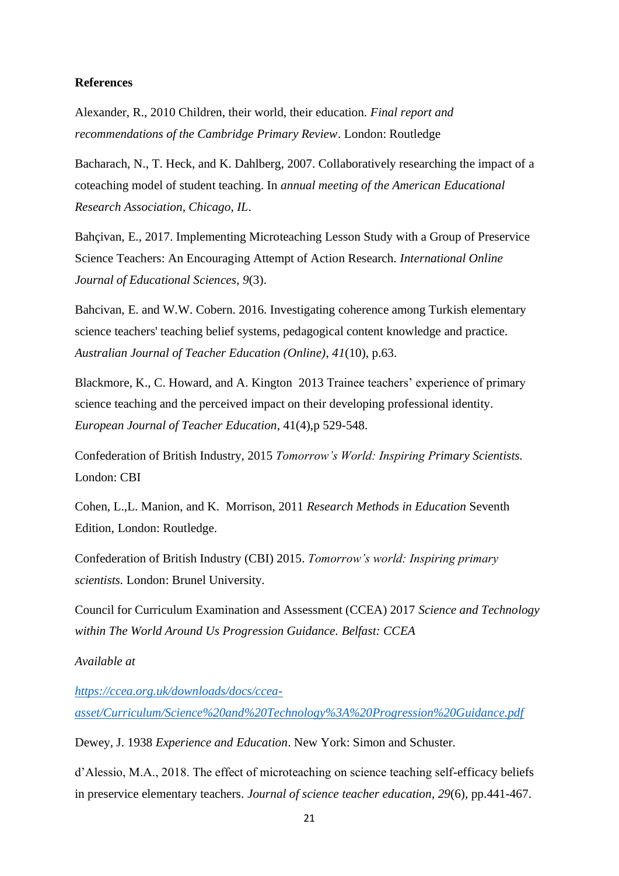#### **References**

Alexander, R., 2010 Children, their world, their education. *Final report and recommendations of the Cambridge Primary Review*. London: Routledge

Bacharach, N., T. Heck, and K. Dahlberg, 2007. Collaboratively researching the impact of a coteaching model of student teaching. In *annual meeting of the American Educational Research Association, Chicago, IL*.

Bahçivan, E., 2017. Implementing Microteaching Lesson Study with a Group of Preservice Science Teachers: An Encouraging Attempt of Action Research. *International Online Journal of Educational Sciences*, *9*(3).

Bahcivan, E. and W.W. Cobern. 2016. Investigating coherence among Turkish elementary science teachers' teaching belief systems, pedagogical content knowledge and practice. *Australian Journal of Teacher Education (Online)*, *41*(10), p.63.

Blackmore, K., C. Howard, and A. Kington 2013 Trainee teachers' experience of primary science teaching and the perceived impact on their developing professional identity. *European Journal of Teacher Education*, 41(4),p 529-548.

Confederation of British Industry, 2015 *Tomorrow's World: Inspiring Primary Scientists.*  London: CBI

Cohen, L.,L. Manion, and K. Morrison, 2011 *Research Methods in Education* Seventh Edition, London: Routledge.

Confederation of British Industry (CBI) 2015. *Tomorrow's world: Inspiring primary scientists.* London: Brunel University.

Council for Curriculum Examination and Assessment (CCEA) 2017 *Science and Technology within The World Around Us Progression Guidance. Belfast: CCEA* 

*Available at*

*[https://ccea.org.uk/downloads/docs/ccea](https://ccea.org.uk/downloads/docs/ccea-asset/Curriculum/Science%20and%20Technology%3A%20Progression%20Guidance.pdf)[asset/Curriculum/Science%20and%20Technology%3A%20Progression%20Guidance.pdf](https://ccea.org.uk/downloads/docs/ccea-asset/Curriculum/Science%20and%20Technology%3A%20Progression%20Guidance.pdf)*

Dewey, J. 1938 *Experience and Education*. New York: Simon and Schuster.

d'Alessio, M.A., 2018. The effect of microteaching on science teaching self-efficacy beliefs in preservice elementary teachers. *Journal of science teacher education*, *29*(6), pp.441-467.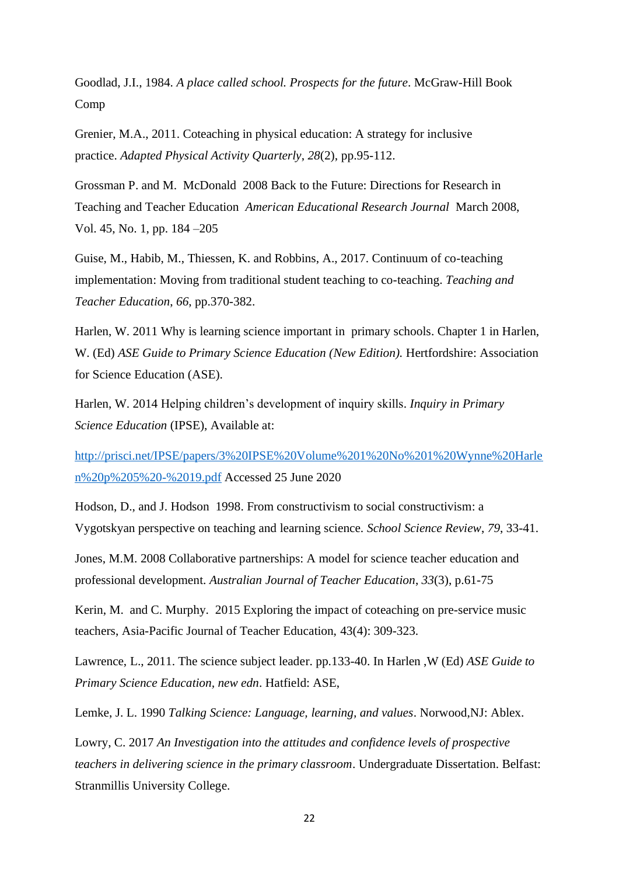Goodlad, J.I., 1984. *A place called school. Prospects for the future*. McGraw-Hill Book Comp

Grenier, M.A., 2011. Coteaching in physical education: A strategy for inclusive practice. *Adapted Physical Activity Quarterly*, *28*(2), pp.95-112.

Grossman P. and M. McDonald 2008 Back to the Future: Directions for Research in Teaching and Teacher Education *American Educational Research Journal* March 2008, Vol. 45, No. 1, pp. 184 –205

Guise, M., Habib, M., Thiessen, K. and Robbins, A., 2017. Continuum of co-teaching implementation: Moving from traditional student teaching to co-teaching. *Teaching and Teacher Education*, *66*, pp.370-382.

Harlen, W. 2011 Why is learning science important in primary schools. Chapter 1 in Harlen, W. (Ed) *ASE Guide to Primary Science Education (New Edition).* Hertfordshire: Association for Science Education (ASE).

Harlen, W. 2014 Helping children's development of inquiry skills. *Inquiry in Primary Science Education* (IPSE), Available at:

[http://prisci.net/IPSE/papers/3%20IPSE%20Volume%201%20No%201%20Wynne%20Harle](http://prisci.net/IPSE/papers/3%20IPSE%20Volume%201%20No%201%20Wynne%20Harlen%20p%205%20-%2019.pdf) [n%20p%205%20-%2019.pdf](http://prisci.net/IPSE/papers/3%20IPSE%20Volume%201%20No%201%20Wynne%20Harlen%20p%205%20-%2019.pdf) Accessed 25 June 2020

Hodson, D., and J. Hodson 1998. From constructivism to social constructivism: a Vygotskyan perspective on teaching and learning science. *School Science Review*, *79*, 33-41.

Jones, M.M. 2008 Collaborative partnerships: A model for science teacher education and professional development. *Australian Journal of Teacher Education*, *33*(3), p.61-75

Kerin, M. and C. Murphy. 2015 Exploring the impact of coteaching on pre-service music teachers, Asia-Pacific Journal of Teacher Education, 43(4): 309-323.

Lawrence, L., 2011. The science subject leader. pp.133-40. In Harlen ,W (Ed) *ASE Guide to Primary Science Education, new edn*. Hatfield: ASE,

Lemke, J. L. 1990 *Talking Science: Language, learning, and values*. Norwood,NJ: Ablex.

Lowry, C. 2017 *An Investigation into the attitudes and confidence levels of prospective teachers in delivering science in the primary classroom*. Undergraduate Dissertation. Belfast: Stranmillis University College.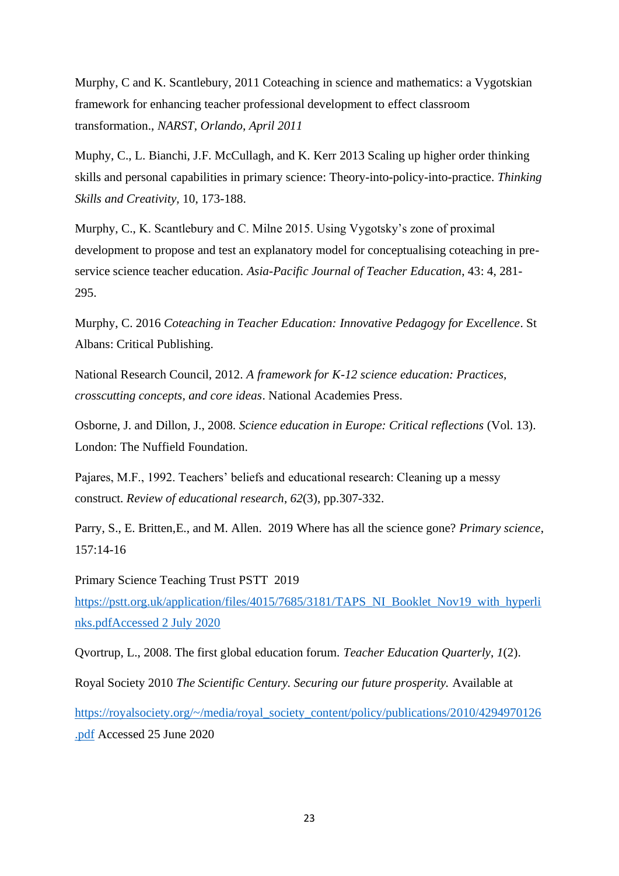Murphy, C and K. Scantlebury, 2011 Coteaching in science and mathematics: a Vygotskian framework for enhancing teacher professional development to effect classroom transformation., *NARST*, *Orlando*, *April 2011*

Muphy, C., L. Bianchi, J.F. McCullagh, and K. Kerr 2013 Scaling up higher order thinking skills and personal capabilities in primary science: Theory-into-policy-into-practice. *Thinking Skills and Creativity,* 10, 173-188.

Murphy, C., K. Scantlebury and C. Milne 2015. Using Vygotsky's zone of proximal development to propose and test an explanatory model for conceptualising coteaching in preservice science teacher education. *Asia-Pacific Journal of Teacher Education*, 43: 4, 281- 295.

Murphy, C. 2016 *Coteaching in Teacher Education: Innovative Pedagogy for Excellence*. St Albans: Critical Publishing.

National Research Council, 2012. *A framework for K-12 science education: Practices, crosscutting concepts, and core ideas*. National Academies Press.

Osborne, J. and Dillon, J., 2008. *Science education in Europe: Critical reflections* (Vol. 13). London: The Nuffield Foundation.

Pajares, M.F., 1992. Teachers' beliefs and educational research: Cleaning up a messy construct. *Review of educational research*, *62*(3), pp.307-332.

Parry, S., E. Britten,E., and M. Allen. 2019 Where has all the science gone? *Primary science*, 157:14-16

Primary Science Teaching Trust PSTT 2019 [https://pstt.org.uk/application/files/4015/7685/3181/TAPS\\_NI\\_Booklet\\_Nov19\\_with\\_hyperli](https://pstt.org.uk/application/files/4015/7685/3181/TAPS_NI_Booklet_Nov19_with_hyperlinks.pdfAccessed%202%20July%202020) [nks.pdfAccessed 2 July 2020](https://pstt.org.uk/application/files/4015/7685/3181/TAPS_NI_Booklet_Nov19_with_hyperlinks.pdfAccessed%202%20July%202020)

Qvortrup, L., 2008. The first global education forum. *Teacher Education Quarterly*, *1*(2).

Royal Society 2010 *The Scientific Century. Securing our future prosperity.* Available at

[https://royalsociety.org/~/media/royal\\_society\\_content/policy/publications/2010/4294970126](https://royalsociety.org/~/media/royal_society_content/policy/publications/2010/4294970126.pdf) [.pdf](https://royalsociety.org/~/media/royal_society_content/policy/publications/2010/4294970126.pdf) Accessed 25 June 2020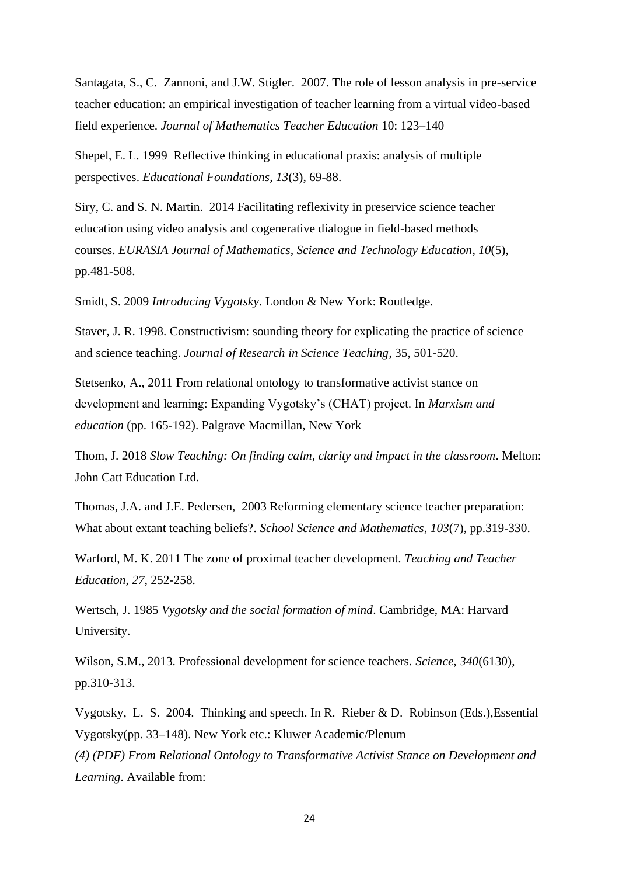Santagata, S., C. Zannoni, and J.W. Stigler. 2007. The role of lesson analysis in pre-service teacher education: an empirical investigation of teacher learning from a virtual video-based field experience. *Journal of Mathematics Teacher Education* 10: 123–140

Shepel, E. L. 1999 Reflective thinking in educational praxis: analysis of multiple perspectives. *Educational Foundations, 13*(3), 69-88.

Siry, C. and S. N. Martin. 2014 Facilitating reflexivity in preservice science teacher education using video analysis and cogenerative dialogue in field-based methods courses. *EURASIA Journal of Mathematics, Science and Technology Education*, *10*(5), pp.481-508.

Smidt, S. 2009 *Introducing Vygotsky*. London & New York: Routledge.

Staver, J. R. 1998. Constructivism: sounding theory for explicating the practice of science and science teaching. *Journal of Research in Science Teaching*, 35, 501-520.

Stetsenko, A., 2011 From relational ontology to transformative activist stance on development and learning: Expanding Vygotsky's (CHAT) project. In *Marxism and education* (pp. 165-192). Palgrave Macmillan, New York

Thom, J. 2018 *Slow Teaching: On finding calm, clarity and impact in the classroom*. Melton: John Catt Education Ltd.

Thomas, J.A. and J.E. Pedersen, 2003 Reforming elementary science teacher preparation: What about extant teaching beliefs?. *School Science and Mathematics*, *103*(7), pp.319-330.

Warford, M. K. 2011 The zone of proximal teacher development. *Teaching and Teacher Education*, *27*, 252-258.

Wertsch, J. 1985 *Vygotsky and the social formation of mind*. Cambridge, MA: Harvard University.

Wilson, S.M., 2013. Professional development for science teachers. *Science*, *340*(6130), pp.310-313.

Vygotsky, L. S. 2004. Thinking and speech. In R. Rieber & D. Robinson (Eds.),Essential Vygotsky(pp. 33–148). New York etc.: Kluwer Academic/Plenum *(4) (PDF) From Relational Ontology to Transformative Activist Stance on Development and Learning*. Available from: